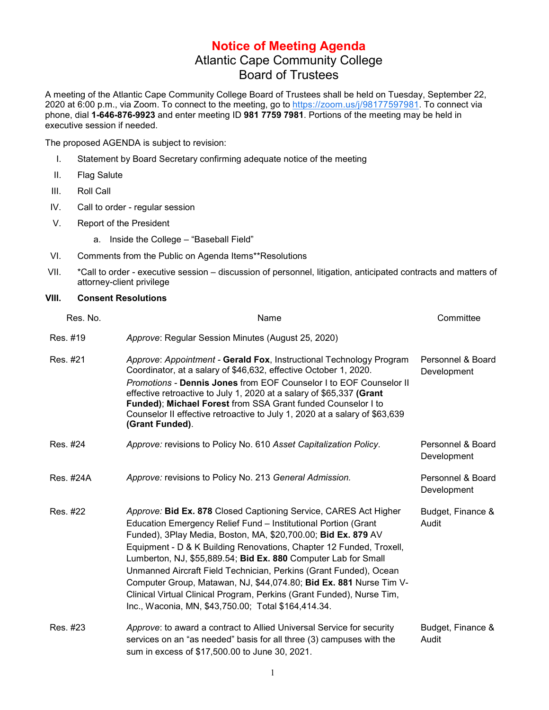## **Notice of Meeting Agenda** Atlantic Cape Community College Board of Trustees

A meeting of the Atlantic Cape Community College Board of Trustees shall be held on Tuesday, September 22, 2020 at 6:00 p.m., via Zoom. To connect to the meeting, go to [https://zoom.us/j/98177597981.](https://www.google.com/url?q=https://zoom.us/j/98177597981&sa=D&source=calendar&ust=1597072443572000&usg=AOvVaw3wGQDxWFwQFFyR3Bpkh8Ml) To connect via phone, dial **1-646-876-9923** and enter meeting ID **981 7759 7981**. Portions of the meeting may be held in executive session if needed.

The proposed AGENDA is subject to revision:

- I. Statement by Board Secretary confirming adequate notice of the meeting
- II. Flag Salute
- III. Roll Call
- IV. Call to order regular session
- V. Report of the President
	- a. Inside the College "Baseball Field"
- VI. Comments from the Public on Agenda Items\*\*Resolutions
- VII. \*Call to order executive session discussion of personnel, litigation, anticipated contracts and matters of attorney-client privilege

## **VIII. Consent Resolutions**

| Res. No.  | Name                                                                                                                                                                                                                                                                                                                                                                                                                                                                                                                                                                                                                    | Committee                        |
|-----------|-------------------------------------------------------------------------------------------------------------------------------------------------------------------------------------------------------------------------------------------------------------------------------------------------------------------------------------------------------------------------------------------------------------------------------------------------------------------------------------------------------------------------------------------------------------------------------------------------------------------------|----------------------------------|
| Res. #19  | Approve: Regular Session Minutes (August 25, 2020)                                                                                                                                                                                                                                                                                                                                                                                                                                                                                                                                                                      |                                  |
| Res. #21  | Approve: Appointment - Gerald Fox, Instructional Technology Program<br>Coordinator, at a salary of \$46,632, effective October 1, 2020.<br>Promotions - Dennis Jones from EOF Counselor I to EOF Counselor II<br>effective retroactive to July 1, 2020 at a salary of \$65,337 (Grant<br>Funded); Michael Forest from SSA Grant funded Counselor I to<br>Counselor II effective retroactive to July 1, 2020 at a salary of \$63,639<br>(Grant Funded).                                                                                                                                                                  | Personnel & Board<br>Development |
| Res. #24  | Approve: revisions to Policy No. 610 Asset Capitalization Policy.                                                                                                                                                                                                                                                                                                                                                                                                                                                                                                                                                       | Personnel & Board<br>Development |
| Res. #24A | Approve: revisions to Policy No. 213 General Admission.                                                                                                                                                                                                                                                                                                                                                                                                                                                                                                                                                                 | Personnel & Board<br>Development |
| Res. #22  | Approve: Bid Ex. 878 Closed Captioning Service, CARES Act Higher<br>Education Emergency Relief Fund - Institutional Portion (Grant<br>Funded), 3Play Media, Boston, MA, \$20,700.00; Bid Ex. 879 AV<br>Equipment - D & K Building Renovations, Chapter 12 Funded, Troxell,<br>Lumberton, NJ, \$55,889.54; Bid Ex. 880 Computer Lab for Small<br>Unmanned Aircraft Field Technician, Perkins (Grant Funded), Ocean<br>Computer Group, Matawan, NJ, \$44,074.80; Bid Ex. 881 Nurse Tim V-<br>Clinical Virtual Clinical Program, Perkins (Grant Funded), Nurse Tim,<br>Inc., Waconia, MN, \$43,750.00; Total \$164,414.34. | Budget, Finance &<br>Audit       |
| Res. #23  | Approve: to award a contract to Allied Universal Service for security<br>services on an "as needed" basis for all three (3) campuses with the<br>sum in excess of \$17,500.00 to June 30, 2021.                                                                                                                                                                                                                                                                                                                                                                                                                         | Budget, Finance &<br>Audit       |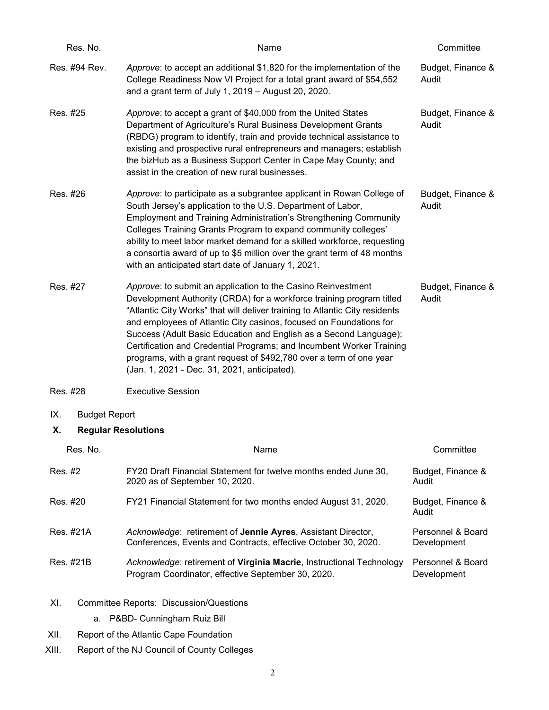| Res. No.                         | Name                                                                                                                                                                                                                                                                                                                                                                                                                                                                                                                                                          | Committee                  |
|----------------------------------|---------------------------------------------------------------------------------------------------------------------------------------------------------------------------------------------------------------------------------------------------------------------------------------------------------------------------------------------------------------------------------------------------------------------------------------------------------------------------------------------------------------------------------------------------------------|----------------------------|
| Res. #94 Rev.                    | Approve: to accept an additional \$1,820 for the implementation of the<br>College Readiness Now VI Project for a total grant award of \$54,552<br>and a grant term of July 1, 2019 - August 20, 2020.                                                                                                                                                                                                                                                                                                                                                         | Budget, Finance &<br>Audit |
| Res. #25                         | Approve: to accept a grant of \$40,000 from the United States<br>Department of Agriculture's Rural Business Development Grants<br>(RBDG) program to identify, train and provide technical assistance to<br>existing and prospective rural entrepreneurs and managers; establish<br>the bizHub as a Business Support Center in Cape May County; and<br>assist in the creation of new rural businesses.                                                                                                                                                         | Budget, Finance &<br>Audit |
| Res. #26                         | Approve: to participate as a subgrantee applicant in Rowan College of<br>South Jersey's application to the U.S. Department of Labor,<br><b>Employment and Training Administration's Strengthening Community</b><br>Colleges Training Grants Program to expand community colleges'<br>ability to meet labor market demand for a skilled workforce, requesting<br>a consortia award of up to \$5 million over the grant term of 48 months<br>with an anticipated start date of January 1, 2021.                                                                 | Budget, Finance &<br>Audit |
| Res. #27                         | Approve: to submit an application to the Casino Reinvestment<br>Development Authority (CRDA) for a workforce training program titled<br>"Atlantic City Works" that will deliver training to Atlantic City residents<br>and employees of Atlantic City casinos, focused on Foundations for<br>Success (Adult Basic Education and English as a Second Language);<br>Certification and Credential Programs; and Incumbent Worker Training<br>programs, with a grant request of \$492,780 over a term of one year<br>(Jan. 1, 2021 - Dec. 31, 2021, anticipated). | Budget, Finance &<br>Audit |
| Res. #28                         | <b>Executive Session</b>                                                                                                                                                                                                                                                                                                                                                                                                                                                                                                                                      |                            |
| IX.<br><b>Budget Report</b>      |                                                                                                                                                                                                                                                                                                                                                                                                                                                                                                                                                               |                            |
| <b>Regular Resolutions</b><br>Х. |                                                                                                                                                                                                                                                                                                                                                                                                                                                                                                                                                               |                            |
| Res. No.                         | Name                                                                                                                                                                                                                                                                                                                                                                                                                                                                                                                                                          | Committee                  |
| Res. #2                          | FY20 Draft Financial Statement for twelve months ended June 30,<br>2020 as of September 10, 2020.                                                                                                                                                                                                                                                                                                                                                                                                                                                             | Budget, Finance &<br>Audit |
| Res. #20                         | FY21 Financial Statement for two months ended August 31, 2020.                                                                                                                                                                                                                                                                                                                                                                                                                                                                                                | Budget, Finance &<br>Audit |

- Res. #21A *Acknowledge*: retirement of **Jennie Ayres**, Assistant Director, Conferences, Events and Contracts, effective October 30, 2020. Personnel & Board Development
- Res. #21B *Acknowledge*: retirement of **Virginia Macrie**, Instructional Technology Program Coordinator, effective September 30, 2020. Personnel & Board Development
- XI. Committee Reports: Discussion/Questions
	- a. P&BD- Cunningham Ruiz Bill
- XII. Report of the Atlantic Cape Foundation
- XIII. Report of the NJ Council of County Colleges